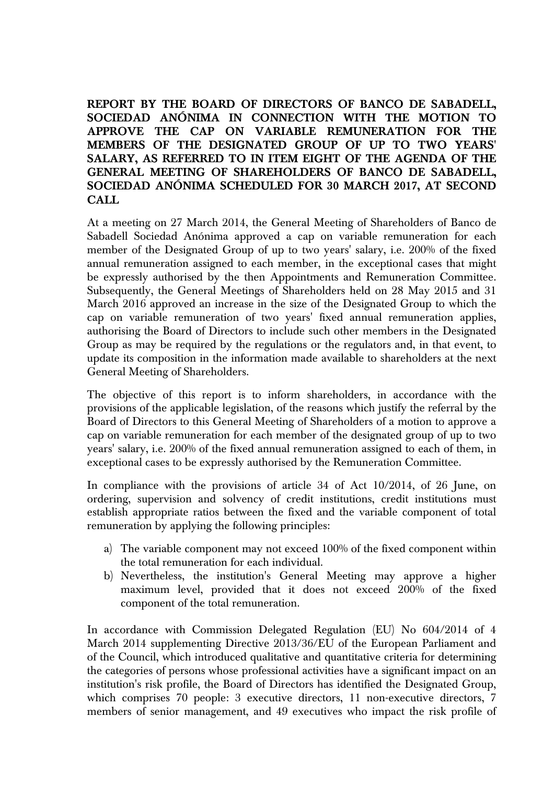## **REPORT BY THE BOARD OF DIRECTORS OF BANCO DE SABADELL, SOCIEDAD ANÓNIMA IN CONNECTION WITH THE MOTION TO APPROVE THE CAP ON VARIABLE REMUNERATION FOR THE MEMBERS OF THE DESIGNATED GROUP OF UP TO TWO YEARS' SALARY, AS REFERRED TO IN ITEM EIGHT OF THE AGENDA OF THE GENERAL MEETING OF SHAREHOLDERS OF BANCO DE SABADELL, SOCIEDAD ANÓNIMA SCHEDULED FOR 30 MARCH 2017, AT SECOND CALL**

At a meeting on 27 March 2014, the General Meeting of Shareholders of Banco de Sabadell Sociedad Anónima approved a cap on variable remuneration for each member of the Designated Group of up to two years' salary, i.e. 200% of the fixed annual remuneration assigned to each member, in the exceptional cases that might be expressly authorised by the then Appointments and Remuneration Committee. Subsequently, the General Meetings of Shareholders held on 28 May 2015 and 31 March 2016 approved an increase in the size of the Designated Group to which the cap on variable remuneration of two years' fixed annual remuneration applies, authorising the Board of Directors to include such other members in the Designated Group as may be required by the regulations or the regulators and, in that event, to update its composition in the information made available to shareholders at the next General Meeting of Shareholders.

The objective of this report is to inform shareholders, in accordance with the provisions of the applicable legislation, of the reasons which justify the referral by the Board of Directors to this General Meeting of Shareholders of a motion to approve a cap on variable remuneration for each member of the designated group of up to two years' salary, i.e. 200% of the fixed annual remuneration assigned to each of them, in exceptional cases to be expressly authorised by the Remuneration Committee.

In compliance with the provisions of article 34 of Act 10/2014, of 26 June, on ordering, supervision and solvency of credit institutions, credit institutions must establish appropriate ratios between the fixed and the variable component of total remuneration by applying the following principles:

- a) The variable component may not exceed 100% of the fixed component within the total remuneration for each individual.
- b) Nevertheless, the institution's General Meeting may approve a higher maximum level, provided that it does not exceed 200% of the fixed component of the total remuneration.

In accordance with Commission Delegated Regulation (EU) No 604/2014 of 4 March 2014 supplementing Directive 2013/36/EU of the European Parliament and of the Council, which introduced qualitative and quantitative criteria for determining the categories of persons whose professional activities have a significant impact on an institution's risk profile, the Board of Directors has identified the Designated Group, which comprises 70 people: 3 executive directors, 11 non-executive directors, 7 members of senior management, and 49 executives who impact the risk profile of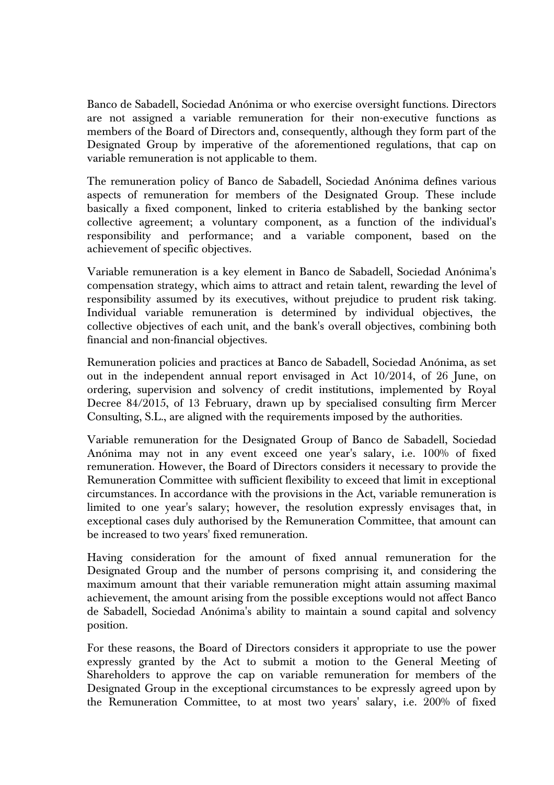Banco de Sabadell, Sociedad Anónima or who exercise oversight functions. Directors are not assigned a variable remuneration for their non-executive functions as members of the Board of Directors and, consequently, although they form part of the Designated Group by imperative of the aforementioned regulations, that cap on variable remuneration is not applicable to them.

The remuneration policy of Banco de Sabadell, Sociedad Anónima defines various aspects of remuneration for members of the Designated Group. These include basically a fixed component, linked to criteria established by the banking sector collective agreement; a voluntary component, as a function of the individual's responsibility and performance; and a variable component, based on the achievement of specific objectives.

Variable remuneration is a key element in Banco de Sabadell, Sociedad Anónima's compensation strategy, which aims to attract and retain talent, rewarding the level of responsibility assumed by its executives, without prejudice to prudent risk taking. Individual variable remuneration is determined by individual objectives, the collective objectives of each unit, and the bank's overall objectives, combining both financial and non-financial objectives.

Remuneration policies and practices at Banco de Sabadell, Sociedad Anónima, as set out in the independent annual report envisaged in Act 10/2014, of 26 June, on ordering, supervision and solvency of credit institutions, implemented by Royal Decree 84/2015, of 13 February, drawn up by specialised consulting firm Mercer Consulting, S.L., are aligned with the requirements imposed by the authorities.

Variable remuneration for the Designated Group of Banco de Sabadell, Sociedad Anónima may not in any event exceed one year's salary, i.e. 100% of fixed remuneration. However, the Board of Directors considers it necessary to provide the Remuneration Committee with sufficient flexibility to exceed that limit in exceptional circumstances. In accordance with the provisions in the Act, variable remuneration is limited to one year's salary; however, the resolution expressly envisages that, in exceptional cases duly authorised by the Remuneration Committee, that amount can be increased to two years' fixed remuneration.

Having consideration for the amount of fixed annual remuneration for the Designated Group and the number of persons comprising it, and considering the maximum amount that their variable remuneration might attain assuming maximal achievement, the amount arising from the possible exceptions would not affect Banco de Sabadell, Sociedad Anónima's ability to maintain a sound capital and solvency position.

For these reasons, the Board of Directors considers it appropriate to use the power expressly granted by the Act to submit a motion to the General Meeting of Shareholders to approve the cap on variable remuneration for members of the Designated Group in the exceptional circumstances to be expressly agreed upon by the Remuneration Committee, to at most two years' salary, i.e. 200% of fixed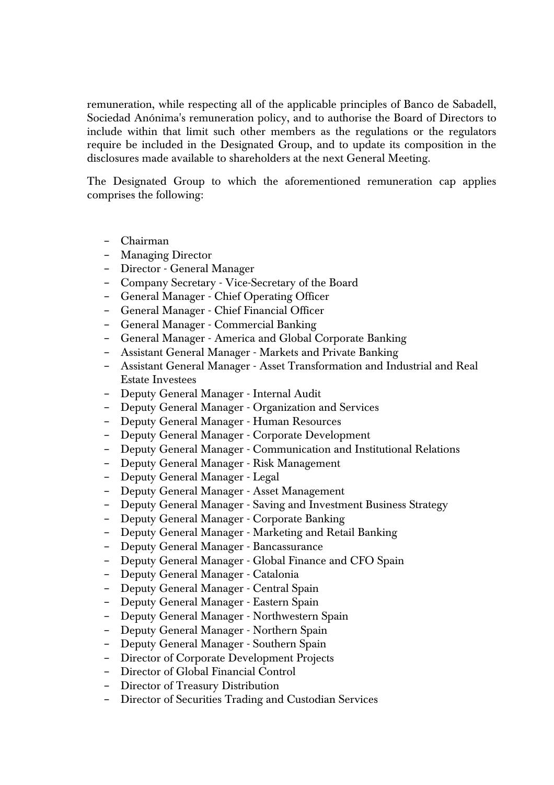remuneration, while respecting all of the applicable principles of Banco de Sabadell, Sociedad Anónima's remuneration policy, and to authorise the Board of Directors to include within that limit such other members as the regulations or the regulators require be included in the Designated Group, and to update its composition in the disclosures made available to shareholders at the next General Meeting.

The Designated Group to which the aforementioned remuneration cap applies comprises the following:

- − Chairman
- − Managing Director
- − Director General Manager
- − Company Secretary Vice-Secretary of the Board
- − General Manager Chief Operating Officer
- − General Manager Chief Financial Officer
- − General Manager Commercial Banking
- − General Manager America and Global Corporate Banking
- − Assistant General Manager Markets and Private Banking
- − Assistant General Manager Asset Transformation and Industrial and Real Estate Investees
- − Deputy General Manager Internal Audit
- − Deputy General Manager Organization and Services
- − Deputy General Manager Human Resources
- − Deputy General Manager Corporate Development
- − Deputy General Manager Communication and Institutional Relations
- − Deputy General Manager Risk Management
- − Deputy General Manager Legal
- − Deputy General Manager Asset Management
- − Deputy General Manager Saving and Investment Business Strategy
- − Deputy General Manager Corporate Banking
- − Deputy General Manager Marketing and Retail Banking
- − Deputy General Manager Bancassurance
- − Deputy General Manager Global Finance and CFO Spain
- − Deputy General Manager Catalonia
- − Deputy General Manager Central Spain
- − Deputy General Manager Eastern Spain
- − Deputy General Manager Northwestern Spain
- − Deputy General Manager Northern Spain
- − Deputy General Manager Southern Spain
- − Director of Corporate Development Projects
- − Director of Global Financial Control
- − Director of Treasury Distribution
- − Director of Securities Trading and Custodian Services